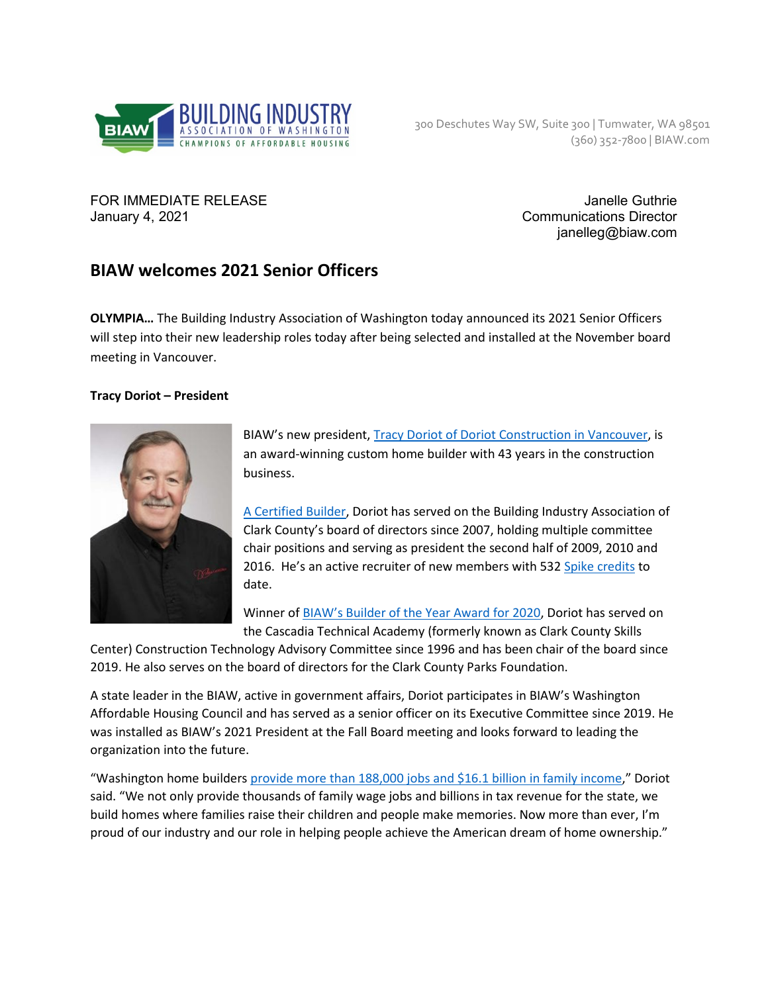

FOR IMMEDIATE RELEASE **Janelle Guthrie** Janelle Guthrie January 4, 2021 **Communications Director** 

janelleg@biaw.com

# **BIAW welcomes 2021 Senior Officers**

**OLYMPIA…** The Building Industry Association of Washington today announced its 2021 Senior Officers will step into their new leadership roles today after being selected and installed at the November board meeting in Vancouver.

## **Tracy Doriot – President**



BIAW's new president, [Tracy Doriot of Doriot Construction in Vancouver,](https://doriotconstruction.com/) is an award-winning custom home builder with 43 years in the construction business.

[A Certified Builder,](https://biawcertifiedbuilder.com/) Doriot has served on the Building Industry Association of Clark County's board of directors since 2007, holding multiple committee chair positions and serving as president the second half of 2009, 2010 and 2016. He's an active recruiter of new members with 532 [Spike credits](https://www.nahb.org/nahb-community/hbas/membership-recruitment-and-retention-pages/the-spike-club) to date.

Winner o[f BIAW's Builder of the Year Award for 2020,](https://www.biaw.com/wp-content/uploads/2020/11/2020-BAR-awards.pdf) Doriot has served on the Cascadia Technical Academy (formerly known as Clark County Skills

Center) Construction Technology Advisory Committee since 1996 and has been chair of the board since 2019. He also serves on the board of directors for the Clark County Parks Foundation.

A state leader in the BIAW, active in government affairs, Doriot participates in BIAW's Washington Affordable Housing Council and has served as a senior officer on its Executive Committee since 2019. He was installed as BIAW's 2021 President at the Fall Board meeting and looks forward to leading the organization into the future.

"Washington home builders [provide more than 188,000 jobs and \\$16.1 billion in family income,](https://www.biaw.com/wp-content/uploads/2020/11/UPDATED-economic-impact-study-2020.pdf)" Doriot said. "We not only provide thousands of family wage jobs and billions in tax revenue for the state, we build homes where families raise their children and people make memories. Now more than ever, I'm proud of our industry and our role in helping people achieve the American dream of home ownership."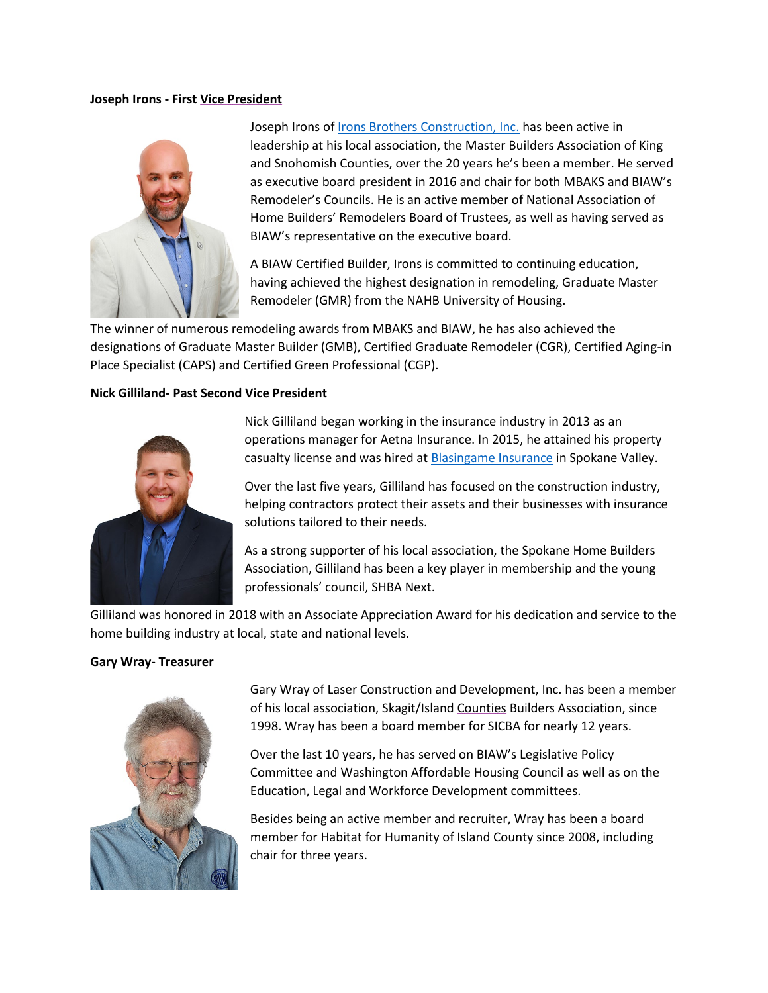#### **Joseph Irons - First Vice President**



Joseph Irons of [Irons Brothers Construction, Inc.](https://www.ironsbc.com/) has been active in leadership at his local association, the Master Builders Association of King and Snohomish Counties, over the 20 years he's been a member. He served as executive board president in 2016 and chair for both MBAKS and BIAW's Remodeler's Councils. He is an active member of National Association of Home Builders' Remodelers Board of Trustees, as well as having served as BIAW's representative on the executive board.

A BIAW Certified Builder, Irons is committed to continuing education, having achieved the highest designation in remodeling, Graduate Master Remodeler (GMR) from the NAHB University of Housing.

The winner of numerous remodeling awards from MBAKS and BIAW, he has also achieved the designations of Graduate Master Builder (GMB), Certified Graduate Remodeler (CGR), Certified Aging-in Place Specialist (CAPS) and Certified Green Professional (CGP).

#### **Nick Gilliland- Past Second Vice President**



Nick Gilliland began working in the insurance industry in 2013 as an operations manager for Aetna Insurance. In 2015, he attained his property casualty license and was hired a[t Blasingame Insurance](http://www.spokaneinsurance.com/) in Spokane Valley.

Over the last five years, Gilliland has focused on the construction industry, helping contractors protect their assets and their businesses with insurance solutions tailored to their needs.

As a strong supporter of his local association, the Spokane Home Builders Association, Gilliland has been a key player in membership and the young professionals' council, SHBA Next.

Gilliland was honored in 2018 with an Associate Appreciation Award for his dedication and service to the home building industry at local, state and national levels.

#### **Gary Wray- Treasurer**



Gary Wray of Laser Construction and Development, Inc. has been a member of his local association, Skagit/Island Counties Builders Association, since 1998. Wray has been a board member for SICBA for nearly 12 years.

Over the last 10 years, he has served on BIAW's Legislative Policy Committee and Washington Affordable Housing Council as well as on the Education, Legal and Workforce Development committees.

Besides being an active member and recruiter, Wray has been a board member for Habitat for Humanity of Island County since 2008, including chair for three years.